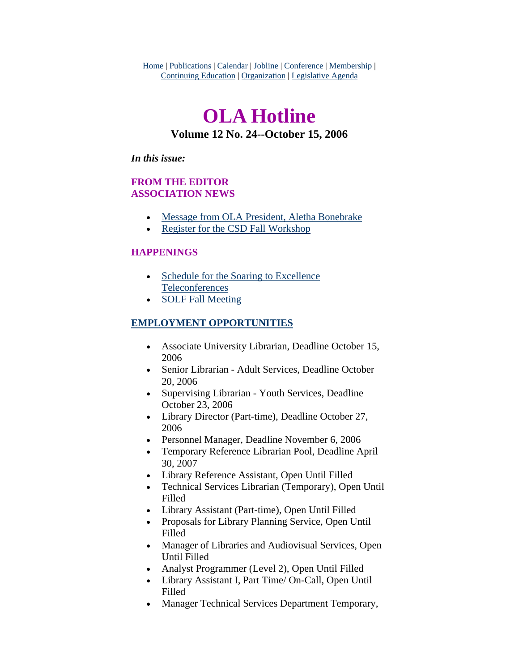Home | Publications | Calendar | Jobline | Conference | Membership | Continuing Education | Organization | Legislative Agenda

# **OLA Hotline Volume 12 No. 24--October 15, 2006**

#### *In this issue:*

# **FROM THE EDITOR ASSOCIATION NEWS**

- [Message from OLA President, Aletha Bonebrake](#page-1-0)
- [Register for the CSD Fall Workshop](#page-3-0)

## **HAPPENINGS**

- Schedule for the Soaring to Excellence [Teleconferences](#page-4-0)
- [SOLF Fall Meeting](#page-5-0)

## **EMPLOYMENT OPPORTUNITIES**

- Associate University Librarian, Deadline October 15, 2006
- Senior Librarian Adult Services, Deadline October 20, 2006
- Supervising Librarian Youth Services, Deadline October 23, 2006
- Library Director (Part-time), Deadline October 27, 2006
- Personnel Manager, Deadline November 6, 2006
- Temporary Reference Librarian Pool, Deadline April 30, 2007
- Library Reference Assistant, Open Until Filled
- Technical Services Librarian (Temporary), Open Until Filled
- Library Assistant (Part-time), Open Until Filled
- Proposals for Library Planning Service, Open Until Filled
- Manager of Libraries and Audiovisual Services, Open Until Filled
- Analyst Programmer (Level 2), Open Until Filled
- Library Assistant I, Part Time/ On-Call, Open Until Filled
- Manager Technical Services Department Temporary,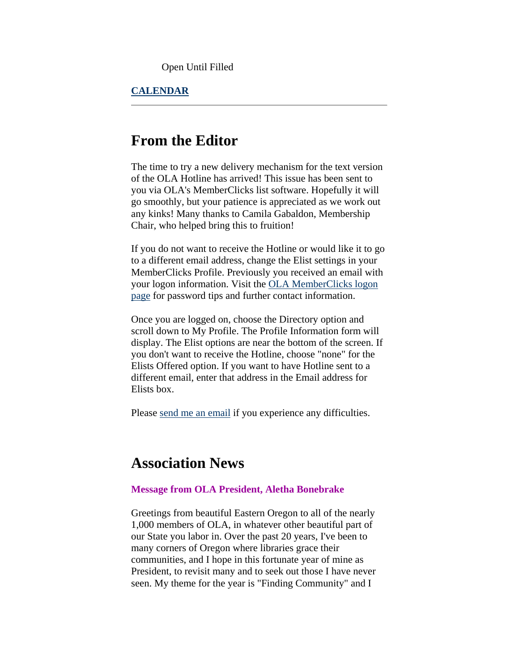Open Until Filled

## <span id="page-1-0"></span>**CALENDAR**

# **From the Editor**

The time to try a new delivery mechanism for the text version of the OLA Hotline has arrived! This issue has been sent to you via OLA's MemberClicks list software. Hopefully it will go smoothly, but your patience is appreciated as we work out any kinks! Many thanks to Camila Gabaldon, Membership Chair, who helped bring this to fruition!

If you do not want to receive the Hotline or would like it to go to a different email address, change the Elist settings in your MemberClicks Profile. Previously you received an email with your logon information. Visit the [OLA MemberClicks logon](http://www.olaweb.org/#login)  [page](http://www.olaweb.org/#login) for password tips and further contact information.

Once you are logged on, choose the Directory option and scroll down to My Profile. The Profile Information form will display. The Elist options are near the bottom of the screen. If you don't want to receive the Hotline, choose "none" for the Elists Offered option. If you want to have Hotline sent to a different email, enter that address in the Email address for Elists box.

Please [send me an email](mailto:sotak@up.edu) if you experience any difficulties.

# **Association News**

#### **Message from OLA President, Aletha Bonebrake**

Greetings from beautiful Eastern Oregon to all of the nearly 1,000 members of OLA, in whatever other beautiful part of our State you labor in. Over the past 20 years, I've been to many corners of Oregon where libraries grace their communities, and I hope in this fortunate year of mine as President, to revisit many and to seek out those I have never seen. My theme for the year is "Finding Community" and I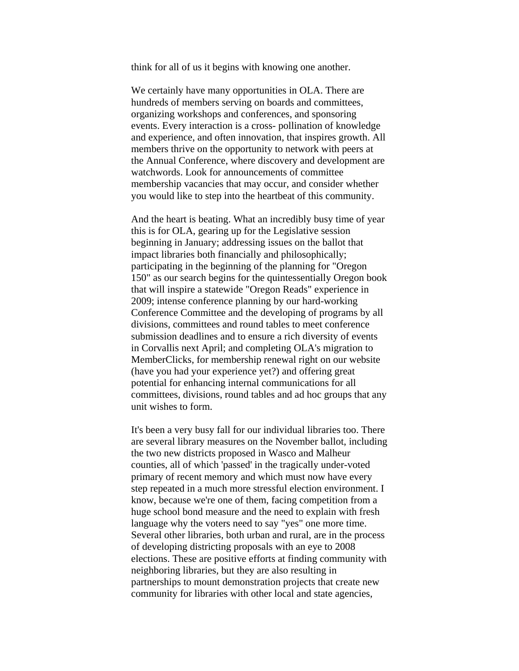think for all of us it begins with knowing one another.

We certainly have many opportunities in OLA. There are hundreds of members serving on boards and committees, organizing workshops and conferences, and sponsoring events. Every interaction is a cross- pollination of knowledge and experience, and often innovation, that inspires growth. All members thrive on the opportunity to network with peers at the Annual Conference, where discovery and development are watchwords. Look for announcements of committee membership vacancies that may occur, and consider whether you would like to step into the heartbeat of this community.

And the heart is beating. What an incredibly busy time of year this is for OLA, gearing up for the Legislative session beginning in January; addressing issues on the ballot that impact libraries both financially and philosophically; participating in the beginning of the planning for "Oregon 150" as our search begins for the quintessentially Oregon book that will inspire a statewide "Oregon Reads" experience in 2009; intense conference planning by our hard-working Conference Committee and the developing of programs by all divisions, committees and round tables to meet conference submission deadlines and to ensure a rich diversity of events in Corvallis next April; and completing OLA's migration to MemberClicks, for membership renewal right on our website (have you had your experience yet?) and offering great potential for enhancing internal communications for all committees, divisions, round tables and ad hoc groups that any unit wishes to form.

It's been a very busy fall for our individual libraries too. There are several library measures on the November ballot, including the two new districts proposed in Wasco and Malheur counties, all of which 'passed' in the tragically under-voted primary of recent memory and which must now have every step repeated in a much more stressful election environment. I know, because we're one of them, facing competition from a huge school bond measure and the need to explain with fresh language why the voters need to say "yes" one more time. Several other libraries, both urban and rural, are in the process of developing districting proposals with an eye to 2008 elections. These are positive efforts at finding community with neighboring libraries, but they are also resulting in partnerships to mount demonstration projects that create new community for libraries with other local and state agencies,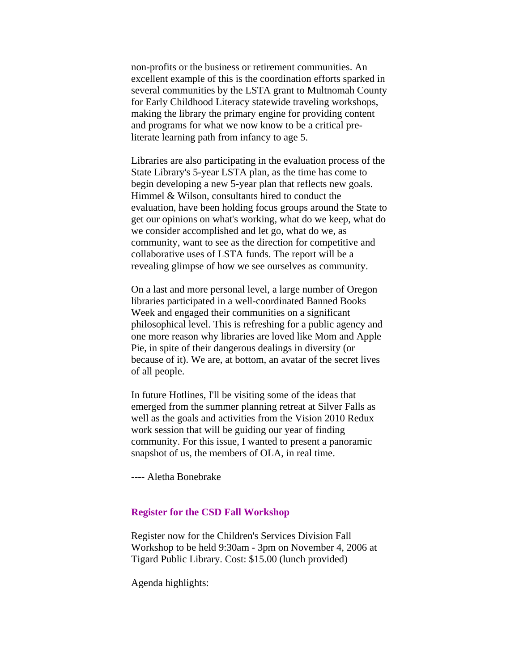<span id="page-3-0"></span>non-profits or the business or retirement communities. An excellent example of this is the coordination efforts sparked in several communities by the LSTA grant to Multnomah County for Early Childhood Literacy statewide traveling workshops, making the library the primary engine for providing content and programs for what we now know to be a critical preliterate learning path from infancy to age 5.

Libraries are also participating in the evaluation process of the State Library's 5-year LSTA plan, as the time has come to begin developing a new 5-year plan that reflects new goals. Himmel & Wilson, consultants hired to conduct the evaluation, have been holding focus groups around the State to get our opinions on what's working, what do we keep, what do we consider accomplished and let go, what do we, as community, want to see as the direction for competitive and collaborative uses of LSTA funds. The report will be a revealing glimpse of how we see ourselves as community.

On a last and more personal level, a large number of Oregon libraries participated in a well-coordinated Banned Books Week and engaged their communities on a significant philosophical level. This is refreshing for a public agency and one more reason why libraries are loved like Mom and Apple Pie, in spite of their dangerous dealings in diversity (or because of it). We are, at bottom, an avatar of the secret lives of all people.

In future Hotlines, I'll be visiting some of the ideas that emerged from the summer planning retreat at Silver Falls as well as the goals and activities from the Vision 2010 Redux work session that will be guiding our year of finding community. For this issue, I wanted to present a panoramic snapshot of us, the members of OLA, in real time.

---- Aletha Bonebrake

### **Register for the CSD Fall Workshop**

Register now for the Children's Services Division Fall Workshop to be held 9:30am - 3pm on November 4, 2006 at Tigard Public Library. Cost: \$15.00 (lunch provided)

Agenda highlights: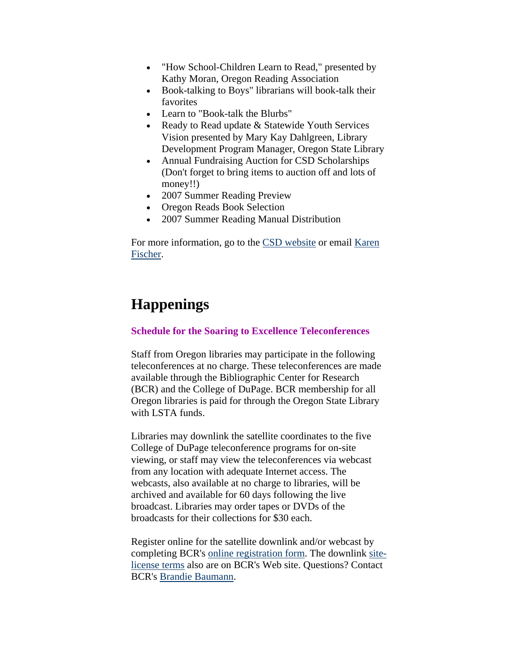- <span id="page-4-0"></span>• "How School-Children Learn to Read," presented by Kathy Moran, Oregon Reading Association
- Book-talking to Boys" librarians will book-talk their favorites
- Learn to "Book-talk the Blurbs"
- Ready to Read update & Statewide Youth Services Vision presented by Mary Kay Dahlgreen, Library Development Program Manager, Oregon State Library
- Annual Fundraising Auction for CSD Scholarships (Don't forget to bring items to auction off and lots of money!!)
- 2007 Summer Reading Preview
- Oregon Reads Book Selection
- 2007 Summer Reading Manual Distribution

For more information, go to the [CSD website](http://www.olaweb.org/csd/) or email [Karen](mailto:kfischer@cityofsalem.net)  [Fischer](mailto:kfischer@cityofsalem.net).

# **Happenings**

## **Schedule for the Soaring to Excellence Teleconferences**

Staff from Oregon libraries may participate in the following teleconferences at no charge. These teleconferences are made available through the Bibliographic Center for Research (BCR) and the College of DuPage. BCR membership for all Oregon libraries is paid for through the Oregon State Library with LSTA funds.

Libraries may downlink the satellite coordinates to the five College of DuPage teleconference programs for on-site viewing, or staff may view the teleconferences via webcast from any location with adequate Internet access. The webcasts, also available at no charge to libraries, will be archived and available for 60 days following the live broadcast. Libraries may order tapes or DVDs of the broadcasts for their collections for \$30 each.

Register online for the satellite downlink and/or webcast by completing BCR's [online registration form.](http://www.bcr.org/training/teleconferences/register.html) The downlink [site](http://www.bcr.org/training/teleconferences/terms.html)[license terms](http://www.bcr.org/training/teleconferences/terms.html) also are on BCR's Web site. Questions? Contact BCR's [Brandie Baumann.](mailto:bbaumann@bcr.org)